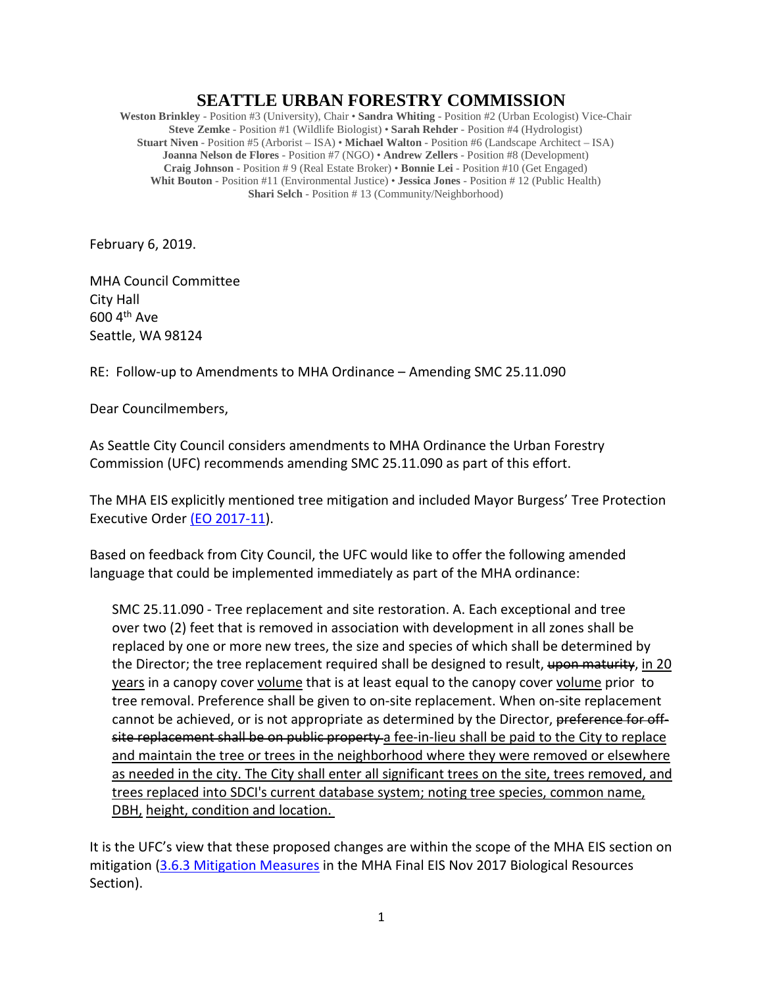## **SEATTLE URBAN FORESTRY COMMISSION**

**Weston Brinkley** - Position #3 (University), Chair • **Sandra Whiting** - Position #2 (Urban Ecologist) Vice-Chair **Steve Zemke** - Position #1 (Wildlife Biologist) • **Sarah Rehder** - Position #4 (Hydrologist) **Stuart Niven** - Position #5 (Arborist – ISA) • **Michael Walton** - Position #6 (Landscape Architect – ISA) **Joanna Nelson de Flores** - Position #7 (NGO) • **Andrew Zellers** - Position #8 (Development) **Craig Johnson** - Position # 9 (Real Estate Broker) • **Bonnie Lei** - Position #10 (Get Engaged) **Whit Bouton** - Position #11 (Environmental Justice) • **Jessica Jones** - Position # 12 (Public Health) **Shari Selch** - Position # 13 (Community/Neighborhood)

February 6, 2019.

MHA Council Committee City Hall 600 4th Ave Seattle, WA 98124

RE: Follow-up to Amendments to MHA Ordinance – Amending SMC 25.11.090

Dear Councilmembers,

As Seattle City Council considers amendments to MHA Ordinance the Urban Forestry Commission (UFC) recommends amending SMC 25.11.090 as part of this effort.

The MHA EIS explicitly mentioned tree mitigation and included Mayor Burgess' Tree Protection Executive Order [\(EO 2017-11\)](http://www.seattle.gov/Documents/Departments/UrbanForestryCommission/2018/2018docs/TreeExecOrder2017-11FINAL.pdf).

Based on feedback from City Council, the UFC would like to offer the following amended language that could be implemented immediately as part of the MHA ordinance:

SMC 25.11.090 - Tree replacement and site restoration. A. Each exceptional and tree over two (2) feet that is removed in association with development in all zones shall be replaced by one or more new trees, the size and species of which shall be determined by the Director; the tree replacement required shall be designed to result, upon maturity, in 20 years in a canopy cover volume that is at least equal to the canopy cover volume prior to tree removal. Preference shall be given to on-site replacement. When on-site replacement cannot be achieved, or is not appropriate as determined by the Director, preference for offsite replacement shall be on public property a fee-in-lieu shall be paid to the City to replace and maintain the tree or trees in the neighborhood where they were removed or elsewhere as needed in the city. The City shall enter all significant trees on the site, trees removed, and trees replaced into SDCI's current database system; noting tree species, common name, DBH, height, condition and location.

It is the UFC's view that these proposed changes are within the scope of the MHA EIS section on mitigation [\(3.6.3 Mitigation Measures](http://www.seattle.gov/Documents/Departments/HALA/Policy/MHA_FEIS/3-6_Biological_MHA_FEIS_2017.pdf) in the MHA Final EIS Nov 2017 Biological Resources Section).